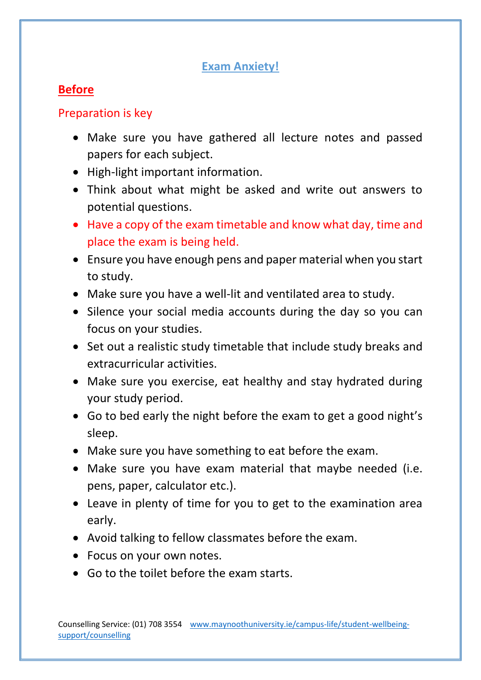#### **Exam Anxiety!**

# **Before**

## Preparation is key

- Make sure you have gathered all lecture notes and passed papers for each subject.
- High-light important information.
- Think about what might be asked and write out answers to potential questions.
- Have a copy of the exam timetable and know what day, time and place the exam is being held.
- Ensure you have enough pens and paper material when you start to study.
- Make sure you have a well-lit and ventilated area to study.
- Silence your social media accounts during the day so you can focus on your studies.
- Set out a realistic study timetable that include study breaks and extracurricular activities.
- Make sure you exercise, eat healthy and stay hydrated during your study period.
- Go to bed early the night before the exam to get a good night's sleep.
- Make sure you have something to eat before the exam.
- Make sure you have exam material that maybe needed (i.e. pens, paper, calculator etc.).
- Leave in plenty of time for you to get to the examination area early.
- Avoid talking to fellow classmates before the exam.
- Focus on your own notes.
- Go to the toilet before the exam starts.